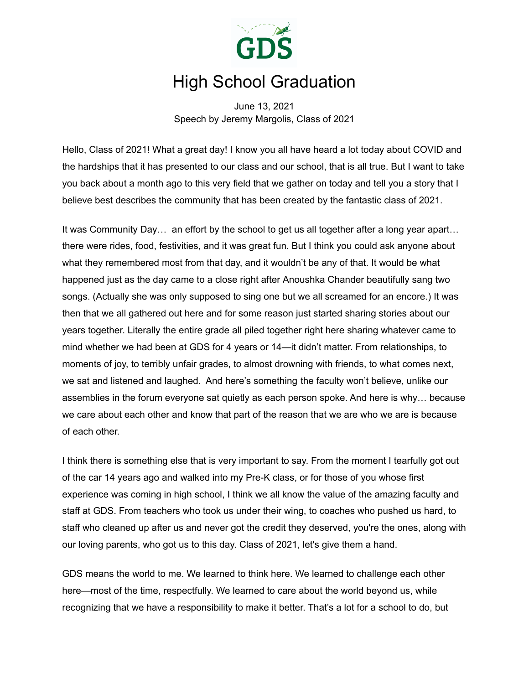

## High School Graduation

June 13, 2021 Speech by Jeremy Margolis, Class of 2021

Hello, Class of 2021! What a great day! I know you all have heard a lot today about COVID and the hardships that it has presented to our class and our school, that is all true. But I want to take you back about a month ago to this very field that we gather on today and tell you a story that I believe best describes the community that has been created by the fantastic class of 2021.

It was Community Day… an effort by the school to get us all together after a long year apart… there were rides, food, festivities, and it was great fun. But I think you could ask anyone about what they remembered most from that day, and it wouldn't be any of that. It would be what happened just as the day came to a close right after Anoushka Chander beautifully sang two songs. (Actually she was only supposed to sing one but we all screamed for an encore.) It was then that we all gathered out here and for some reason just started sharing stories about our years together. Literally the entire grade all piled together right here sharing whatever came to mind whether we had been at GDS for 4 years or 14—it didn't matter. From relationships, to moments of joy, to terribly unfair grades, to almost drowning with friends, to what comes next, we sat and listened and laughed. And here's something the faculty won't believe, unlike our assemblies in the forum everyone sat quietly as each person spoke. And here is why… because we care about each other and know that part of the reason that we are who we are is because of each other.

I think there is something else that is very important to say. From the moment I tearfully got out of the car 14 years ago and walked into my Pre-K class, or for those of you whose first experience was coming in high school, I think we all know the value of the amazing faculty and staff at GDS. From teachers who took us under their wing, to coaches who pushed us hard, to staff who cleaned up after us and never got the credit they deserved, you're the ones, along with our loving parents, who got us to this day. Class of 2021, let's give them a hand.

GDS means the world to me. We learned to think here. We learned to challenge each other here—most of the time, respectfully. We learned to care about the world beyond us, while recognizing that we have a responsibility to make it better. That's a lot for a school to do, but